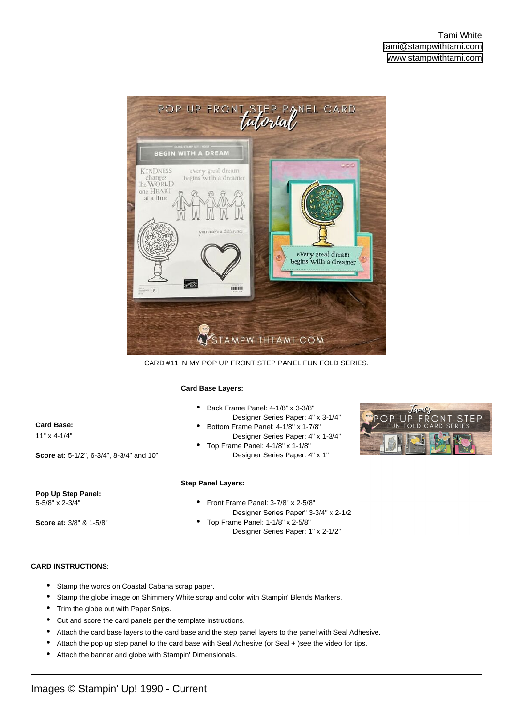

CARD #11 IN MY POP UP FRONT STEP PANEL FUN FOLD SERIES.

## **Card Base Layers:**

**Card Base:**  11" x 4-1/4" **Score at:** 5-1/2", 6-3/4", 8-3/4" and 10" Back Frame Panel: 4-1/8" x 3-3/8" Designer Series Paper: 4" x 3-1/4" • Bottom Frame Panel: 4-1/8" x 1-7/8" Designer Series Paper: 4" x 1-3/4" • Top Frame Panel: 4-1/8" x 1-1/8" Designer Series Paper: 4" x 1" • **Pop Up Step Panel:**  5-5/8" x 2-3/4" **Step Panel Layers:** Front Frame Panel: 3-7/8" x 2-5/8" •

**Score at:** 3/8" & 1-5/8"

- Designer Series Paper" 3-3/4" x 2-1/2 Top Frame Panel: 1-1/8" x 2-5/8" •
	- Designer Series Paper: 1" x 2-1/2"

## **CARD INSTRUCTIONS**:

- Stamp the words on Coastal Cabana scrap paper.
- Stamp the globe image on Shimmery White scrap and color with Stampin' Blends Markers.
- Trim the globe out with Paper Snips.
- Cut and score the card panels per the template instructions.
- Attach the card base layers to the card base and the step panel layers to the panel with Seal Adhesive.
- Attach the pop up step panel to the card base with Seal Adhesive (or Seal + )see the video for tips.
- Attach the banner and globe with Stampin' Dimensionals.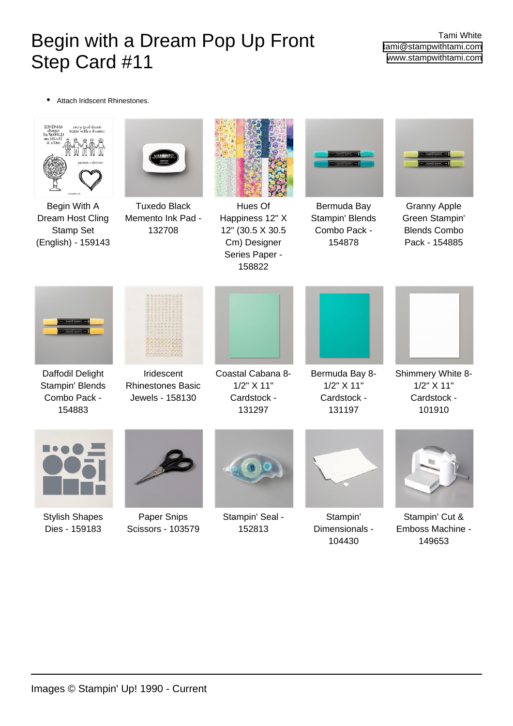## Begin with a Dream Pop Up Front Step Card #11

Tami White [tami@stampwithtami.com](mailto:tami@stampwithtami.com) [www.stampwithtami.com](http://www.stampwithtami.com)

• Attach Iridscent Rhinestones.



[Stamp Set](https://www.stampinup.com/products/begin-with-a-dream-cling-stamp-set-english?dbwsdemoid=73215)



[Dream Host Cling](https://www.stampinup.com/products/begin-with-a-dream-cling-stamp-set-english?dbwsdemoid=73215) [\(English\) - 159143](https://www.stampinup.com/products/begin-with-a-dream-cling-stamp-set-english?dbwsdemoid=73215) [Tuxedo Black](https://www.stampinup.com/products/memento-ink-pad-tuxedo-black?dbwsdemoid=73215) [Memento Ink Pad -](https://www.stampinup.com/products/memento-ink-pad-tuxedo-black?dbwsdemoid=73215) [132708](https://www.stampinup.com/products/memento-ink-pad-tuxedo-black?dbwsdemoid=73215)



[Hues Of](https://www.stampinup.com/products/hues-of-happiness-12-x-12-30-5-x-30-5-cm-designer-series-paper?dbwsdemoid=73215) [Happiness 12" X](https://www.stampinup.com/products/hues-of-happiness-12-x-12-30-5-x-30-5-cm-designer-series-paper?dbwsdemoid=73215) [12" \(30.5 X 30.5](https://www.stampinup.com/products/hues-of-happiness-12-x-12-30-5-x-30-5-cm-designer-series-paper?dbwsdemoid=73215) [Cm\) Designer](https://www.stampinup.com/products/hues-of-happiness-12-x-12-30-5-x-30-5-cm-designer-series-paper?dbwsdemoid=73215) [Series Paper -](https://www.stampinup.com/products/hues-of-happiness-12-x-12-30-5-x-30-5-cm-designer-series-paper?dbwsdemoid=73215) [158822](https://www.stampinup.com/products/hues-of-happiness-12-x-12-30-5-x-30-5-cm-designer-series-paper?dbwsdemoid=73215)



[Bermuda Bay](https://www.stampinup.com/products/bermuda-bay-stampin-blends-combo-pack?dbwsdemoid=73215) [Stampin' Blends](https://www.stampinup.com/products/bermuda-bay-stampin-blends-combo-pack?dbwsdemoid=73215) [Combo Pack -](https://www.stampinup.com/products/bermuda-bay-stampin-blends-combo-pack?dbwsdemoid=73215) [154878](https://www.stampinup.com/products/bermuda-bay-stampin-blends-combo-pack?dbwsdemoid=73215)



[Granny Apple](https://www.stampinup.com/products/granny-apple-green-stampin-blends-combo-pack?dbwsdemoid=73215) [Green Stampin'](https://www.stampinup.com/products/granny-apple-green-stampin-blends-combo-pack?dbwsdemoid=73215) [Blends Combo](https://www.stampinup.com/products/granny-apple-green-stampin-blends-combo-pack?dbwsdemoid=73215) [Pack - 154885](https://www.stampinup.com/products/granny-apple-green-stampin-blends-combo-pack?dbwsdemoid=73215)



[Daffodil Delight](https://www.stampinup.com/products/dafodill-delight-stampin-blends-combo-pack?dbwsdemoid=73215) [Stampin' Blends](https://www.stampinup.com/products/dafodill-delight-stampin-blends-combo-pack?dbwsdemoid=73215) [Combo Pack -](https://www.stampinup.com/products/dafodill-delight-stampin-blends-combo-pack?dbwsdemoid=73215) [154883](https://www.stampinup.com/products/dafodill-delight-stampin-blends-combo-pack?dbwsdemoid=73215)



[Iridescent](https://www.stampinup.com/products/iridescent-rhinestones-basic-jewels?dbwsdemoid=73215) [Rhinestones Basic](https://www.stampinup.com/products/iridescent-rhinestones-basic-jewels?dbwsdemoid=73215) [Jewels - 158130](https://www.stampinup.com/products/iridescent-rhinestones-basic-jewels?dbwsdemoid=73215)



[Bermuda Bay 8-](https://www.stampinup.com/products/cardstock-8-1-2-x-11-bermuda-bay?dbwsdemoid=73215) [1/2" X 11"](https://www.stampinup.com/products/cardstock-8-1-2-x-11-bermuda-bay?dbwsdemoid=73215) [Cardstock -](https://www.stampinup.com/products/cardstock-8-1-2-x-11-bermuda-bay?dbwsdemoid=73215) [131197](https://www.stampinup.com/products/cardstock-8-1-2-x-11-bermuda-bay?dbwsdemoid=73215)



[Shimmery White 8-](https://www.stampinup.com/products/cardstock-8-1-2-x-11-shimmery-white?dbwsdemoid=73215) [1/2" X 11"](https://www.stampinup.com/products/cardstock-8-1-2-x-11-shimmery-white?dbwsdemoid=73215) [Cardstock -](https://www.stampinup.com/products/cardstock-8-1-2-x-11-shimmery-white?dbwsdemoid=73215) [101910](https://www.stampinup.com/products/cardstock-8-1-2-x-11-shimmery-white?dbwsdemoid=73215)



[Stylish Shapes](https://www.stampinup.com/products/stylish-shapes-dies?dbwsdemoid=73215) [Dies - 159183](https://www.stampinup.com/products/stylish-shapes-dies?dbwsdemoid=73215)



[Paper Snips](https://www.stampinup.com/products/scissors-paper-snips?dbwsdemoid=73215) [Scissors - 103579](https://www.stampinup.com/products/scissors-paper-snips?dbwsdemoid=73215)



[131297](https://www.stampinup.com/products/cardstock-8-1-2-x-11-coastal-cabana?dbwsdemoid=73215)

[Stampin' Seal -](https://www.stampinup.com/products/stampin-seal?dbwsdemoid=73215) [152813](https://www.stampinup.com/products/stampin-seal?dbwsdemoid=73215)



[Stampin'](https://www.stampinup.com/products/stampin-dimensionals?dbwsdemoid=73215) [Dimensionals -](https://www.stampinup.com/products/stampin-dimensionals?dbwsdemoid=73215) [104430](https://www.stampinup.com/products/stampin-dimensionals?dbwsdemoid=73215)



[Stampin' Cut &](https://www.stampinup.com/products/stampin-cut-emboss-machine?dbwsdemoid=73215) [Emboss Machine -](https://www.stampinup.com/products/stampin-cut-emboss-machine?dbwsdemoid=73215) [149653](https://www.stampinup.com/products/stampin-cut-emboss-machine?dbwsdemoid=73215)